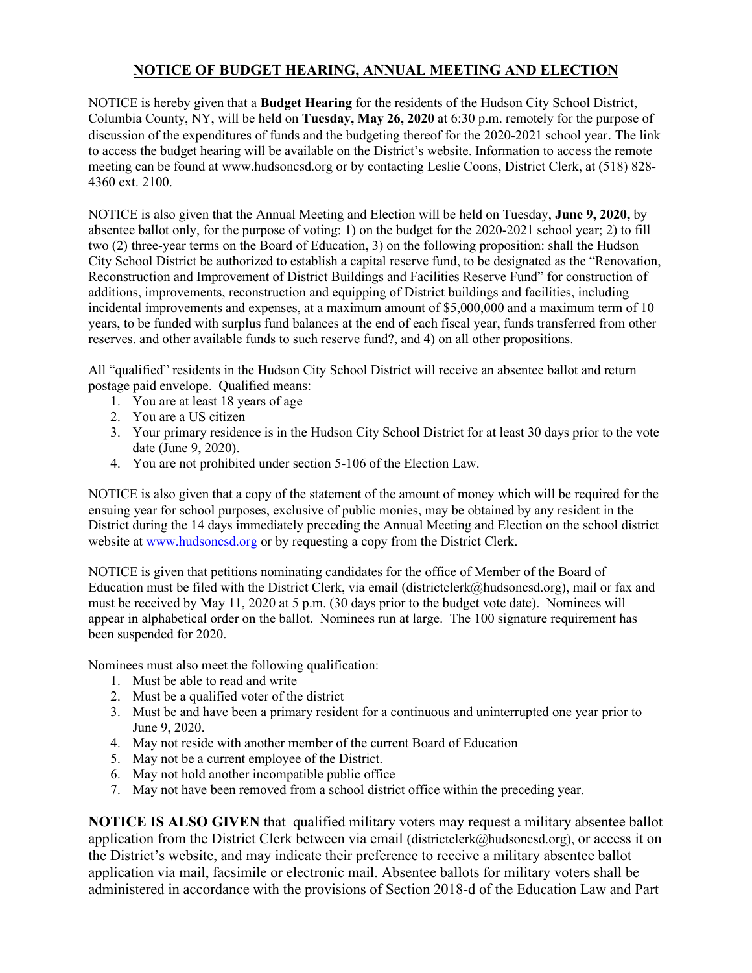## **NOTICE OF BUDGET HEARING, ANNUAL MEETING AND ELECTION**

NOTICE is hereby given that a **Budget Hearing** for the residents of the Hudson City School District, Columbia County, NY, will be held on **Tuesday, May 26, 2020** at 6:30 p.m. remotely for the purpose of discussion of the expenditures of funds and the budgeting thereof for the 2020-2021 school year. The link to access the budget hearing will be available on the District's website. Information to access the remote meeting can be found at www.hudsoncsd.org or by contacting Leslie Coons, District Clerk, at (518) 828- 4360 ext. 2100.

NOTICE is also given that the Annual Meeting and Election will be held on Tuesday, **June 9, 2020,** by absentee ballot only, for the purpose of voting: 1) on the budget for the 2020-2021 school year; 2) to fill two (2) three-year terms on the Board of Education, 3) on the following proposition: shall the Hudson City School District be authorized to establish a capital reserve fund, to be designated as the "Renovation, Reconstruction and Improvement of District Buildings and Facilities Reserve Fund" for construction of additions, improvements, reconstruction and equipping of District buildings and facilities, including incidental improvements and expenses, at a maximum amount of \$5,000,000 and a maximum term of 10 years, to be funded with surplus fund balances at the end of each fiscal year, funds transferred from other reserves. and other available funds to such reserve fund?, and 4) on all other propositions.

All "qualified" residents in the Hudson City School District will receive an absentee ballot and return postage paid envelope. Qualified means:

- 1. You are at least 18 years of age
- 2. You are a US citizen
- 3. Your primary residence is in the Hudson City School District for at least 30 days prior to the vote date (June 9, 2020).
- 4. You are not prohibited under section 5-106 of the Election Law.

NOTICE is also given that a copy of the statement of the amount of money which will be required for the ensuing year for school purposes, exclusive of public monies, may be obtained by any resident in the District during the 14 days immediately preceding the Annual Meeting and Election on the school district website at [www.hudsoncsd.org](http://www.hudsoncsd.org/) or by requesting a copy from the District Clerk.

NOTICE is given that petitions nominating candidates for the office of Member of the Board of Education must be filed with the District Clerk, via email (districtclerk@hudsoncsd.org), mail or fax and must be received by May 11, 2020 at 5 p.m. (30 days prior to the budget vote date). Nominees will appear in alphabetical order on the ballot. Nominees run at large. The 100 signature requirement has been suspended for 2020.

Nominees must also meet the following qualification:

- 1. Must be able to read and write
- 2. Must be a qualified voter of the district
- 3. Must be and have been a primary resident for a continuous and uninterrupted one year prior to June 9, 2020.
- 4. May not reside with another member of the current Board of Education
- 5. May not be a current employee of the District.
- 6. May not hold another incompatible public office
- 7. May not have been removed from a school district office within the preceding year.

**NOTICE IS ALSO GIVEN** that qualified military voters may request a military absentee ballot application from the District Clerk between via email (districtclerk@hudsoncsd.org), or access it on the District's website, and may indicate their preference to receive a military absentee ballot application via mail, facsimile or electronic mail. Absentee ballots for military voters shall be administered in accordance with the provisions of Section 2018-d of the Education Law and Part